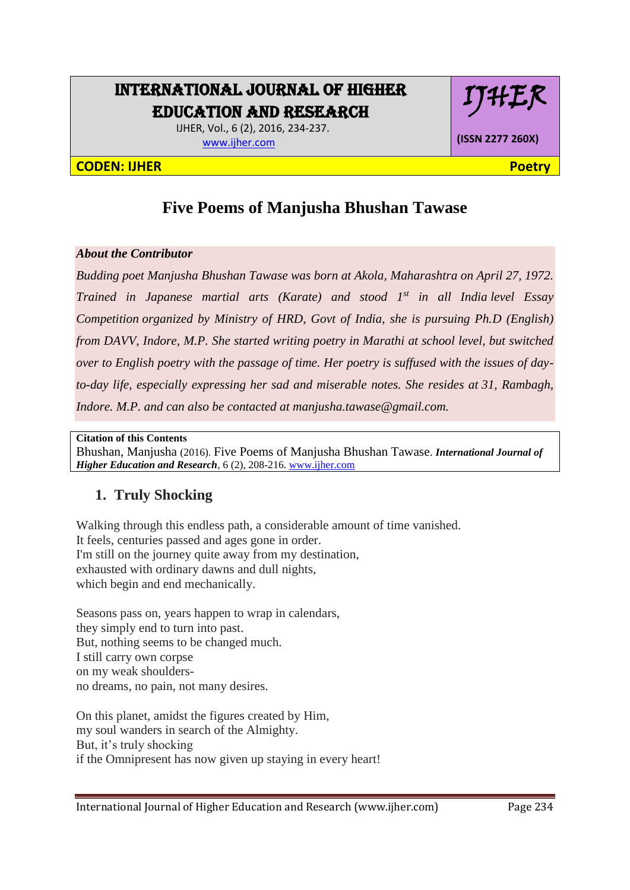# INTERNATIONAL JOURNAL OF HIGHER EDUCATION AND RESEARCH

 IJHER, Vol., 6 (2), 2016, 234-237. [www.ijher.com](http://www.ijher.com/)

#### **CODEN: IJHER Poetry**

# IJHER

**(ISSN 2277 260X)**

## **Five Poems of Manjusha Bhushan Tawase**

#### *About the Contributor*

*Budding poet Manjusha Bhushan Tawase was born at Akola, Maharashtra on April 27, 1972. Trained in Japanese martial arts (Karate) and stood 1st in all India level Essay Competition organized by Ministry of HRD, Govt of India, she is pursuing Ph.D (English) from DAVV, Indore, M.P. She started writing poetry in Marathi at school level, but switched over to English poetry with the passage of time. Her poetry is suffused with the issues of dayto-day life, especially expressing her sad and miserable notes. She resides at 31, Rambagh, Indore. M.P. and can also be contacted at manjusha.tawase@gmail.com.*

**Citation of this Contents**

Bhushan, Manjusha (2016). Five Poems of Manjusha Bhushan Tawase. *International Journal of Higher Education and Research*, 6 (2), 208-216. [www.ijher.com](http://www.ijher.com/)

## **1. Truly Shocking**

Walking through this endless path, a considerable amount of time vanished. It feels, centuries passed and ages gone in order. I'm still on the journey quite away from my destination, exhausted with ordinary dawns and dull nights, which begin and end mechanically.

Seasons pass on, years happen to wrap in calendars, they simply end to turn into past. But, nothing seems to be changed much. I still carry own corpse on my weak shouldersno dreams, no pain, not many desires.

On this planet, amidst the figures created by Him, my soul wanders in search of the Almighty. But, it's truly shocking if the Omnipresent has now given up staying in every heart!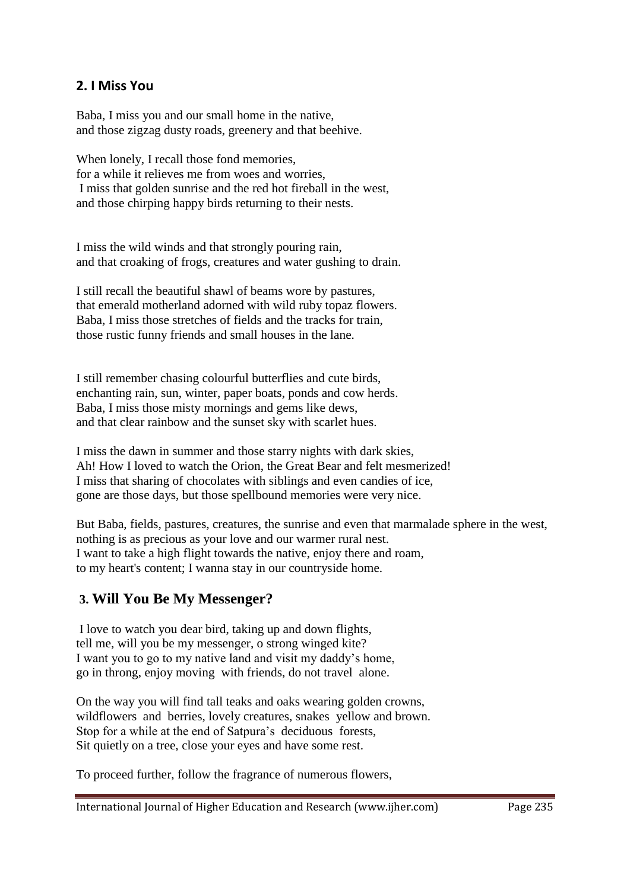### **2. I Miss You**

Baba, I miss you and our small home in the native, and those zigzag dusty roads, greenery and that beehive.

When lonely, I recall those fond memories. for a while it relieves me from woes and worries, I miss that golden sunrise and the red hot fireball in the west, and those chirping happy birds returning to their nests.

I miss the wild winds and that strongly pouring rain, and that croaking of frogs, creatures and water gushing to drain.

I still recall the beautiful shawl of beams wore by pastures, that emerald motherland adorned with wild ruby topaz flowers. Baba, I miss those stretches of fields and the tracks for train, those rustic funny friends and small houses in the lane.

I still remember chasing colourful butterflies and cute birds, enchanting rain, sun, winter, paper boats, ponds and cow herds. Baba, I miss those misty mornings and gems like dews, and that clear rainbow and the sunset sky with scarlet hues.

I miss the dawn in summer and those starry nights with dark skies, Ah! How I loved to watch the Orion, the Great Bear and felt mesmerized! I miss that sharing of chocolates with siblings and even candies of ice, gone are those days, but those spellbound memories were very nice.

But Baba, fields, pastures, creatures, the sunrise and even that marmalade sphere in the west, nothing is as precious as your love and our warmer rural nest. I want to take a high flight towards the native, enjoy there and roam, to my heart's content; I wanna stay in our countryside home.

### **3. Will You Be My Messenger?**

I love to watch you dear bird, taking up and down flights, tell me, will you be my messenger, o strong winged kite? I want you to go to my native land and visit my daddy's home, go in throng, enjoy moving with friends, do not travel alone.

On the way you will find tall teaks and oaks wearing golden crowns, wildflowers and berries, lovely creatures, snakes yellow and brown. Stop for a while at the end of Satpura's deciduous forests, Sit quietly on a tree, close your eyes and have some rest.

To proceed further, follow the fragrance of numerous flowers,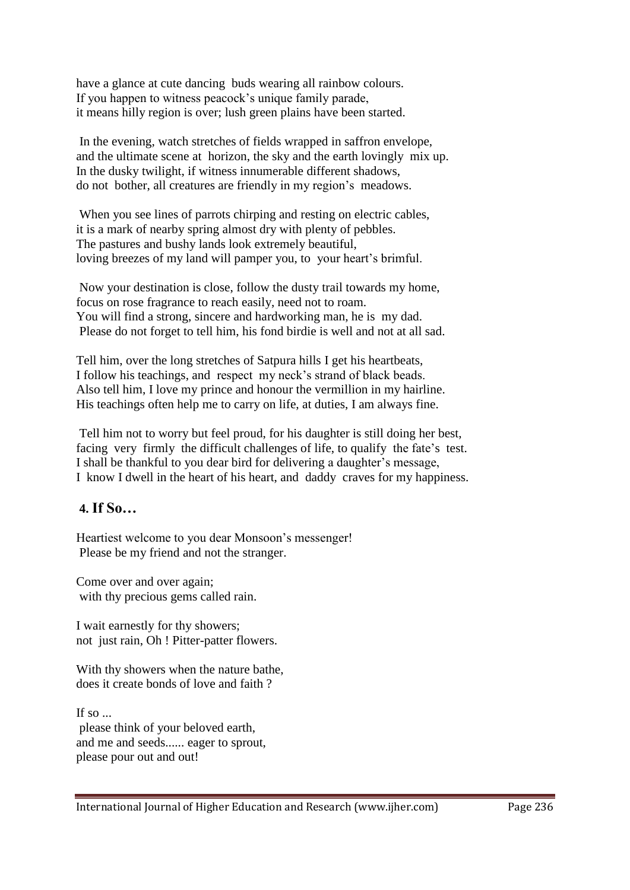have a glance at cute dancing buds wearing all rainbow colours. If you happen to witness peacock's unique family parade, it means hilly region is over; lush green plains have been started.

In the evening, watch stretches of fields wrapped in saffron envelope, and the ultimate scene at horizon, the sky and the earth lovingly mix up. In the dusky twilight, if witness innumerable different shadows, do not bother, all creatures are friendly in my region's meadows.

When you see lines of parrots chirping and resting on electric cables, it is a mark of nearby spring almost dry with plenty of pebbles. The pastures and bushy lands look extremely beautiful, loving breezes of my land will pamper you, to your heart's brimful.

Now your destination is close, follow the dusty trail towards my home, focus on rose fragrance to reach easily, need not to roam. You will find a strong, sincere and hardworking man, he is my dad. Please do not forget to tell him, his fond birdie is well and not at all sad.

Tell him, over the long stretches of Satpura hills I get his heartbeats, I follow his teachings, and respect my neck's strand of black beads. Also tell him, I love my prince and honour the vermillion in my hairline. His teachings often help me to carry on life, at duties, I am always fine.

Tell him not to worry but feel proud, for his daughter is still doing her best, facing very firmly the difficult challenges of life, to qualify the fate's test. I shall be thankful to you dear bird for delivering a daughter's message, I know I dwell in the heart of his heart, and daddy craves for my happiness.

## **4. If So…**

Heartiest welcome to you dear Monsoon's messenger! Please be my friend and not the stranger.

Come over and over again; with thy precious gems called rain.

I wait earnestly for thy showers; not just rain, Oh ! Pitter-patter flowers.

With thy showers when the nature bathe, does it create bonds of love and faith ?

If so  $\sim$ please think of your beloved earth, and me and seeds...... eager to sprout, please pour out and out!